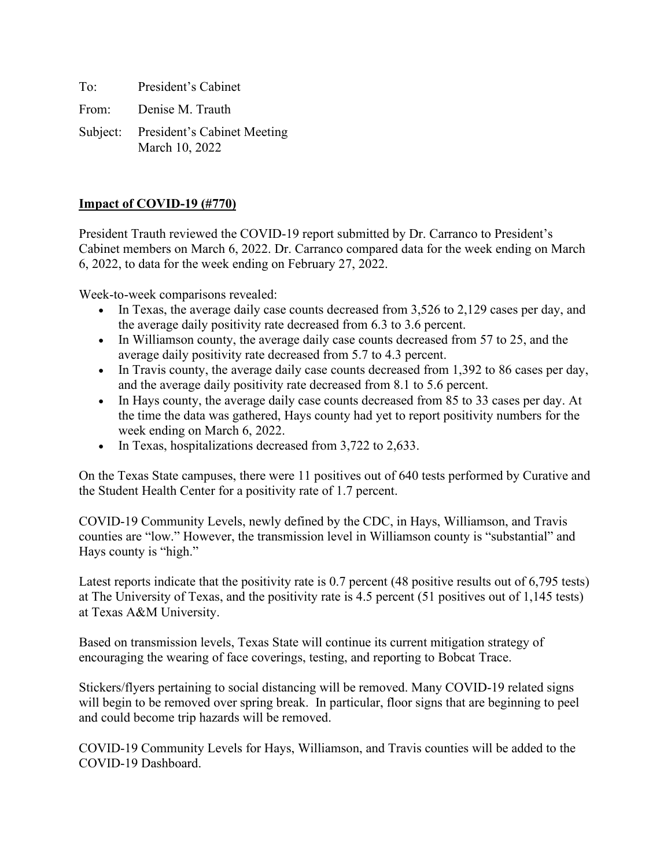To: President's Cabinet From: Denise M. Trauth

Subject: President's Cabinet Meeting March 10, 2022

## **Impact of COVID-19 (#770)**

President Trauth reviewed the COVID-19 report submitted by Dr. Carranco to President's Cabinet members on March 6, 2022. Dr. Carranco compared data for the week ending on March 6, 2022, to data for the week ending on February 27, 2022.

Week-to-week comparisons revealed:

- In Texas, the average daily case counts decreased from 3,526 to 2,129 cases per day, and the average daily positivity rate decreased from 6.3 to 3.6 percent.
- In Williamson county, the average daily case counts decreased from 57 to 25, and the average daily positivity rate decreased from 5.7 to 4.3 percent.
- In Travis county, the average daily case counts decreased from 1,392 to 86 cases per day, and the average daily positivity rate decreased from 8.1 to 5.6 percent.
- In Hays county, the average daily case counts decreased from 85 to 33 cases per day. At the time the data was gathered, Hays county had yet to report positivity numbers for the week ending on March 6, 2022.
- In Texas, hospitalizations decreased from 3,722 to 2,633.

On the Texas State campuses, there were 11 positives out of 640 tests performed by Curative and the Student Health Center for a positivity rate of 1.7 percent.

COVID-19 Community Levels, newly defined by the CDC, in Hays, Williamson, and Travis counties are "low." However, the transmission level in Williamson county is "substantial" and Hays county is "high."

Latest reports indicate that the positivity rate is 0.7 percent (48 positive results out of 6,795 tests) at The University of Texas, and the positivity rate is 4.5 percent (51 positives out of 1,145 tests) at Texas A&M University.

Based on transmission levels, Texas State will continue its current mitigation strategy of encouraging the wearing of face coverings, testing, and reporting to Bobcat Trace.

Stickers/flyers pertaining to social distancing will be removed. Many COVID-19 related signs will begin to be removed over spring break. In particular, floor signs that are beginning to peel and could become trip hazards will be removed.

COVID-19 Community Levels for Hays, Williamson, and Travis counties will be added to the COVID-19 Dashboard.